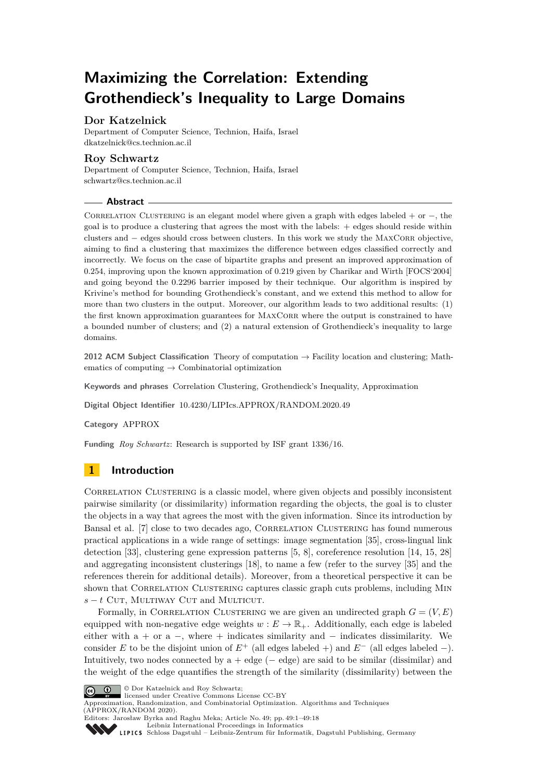# **Maximizing the Correlation: Extending Grothendieck's Inequality to Large Domains**

# **Dor Katzelnick**

Department of Computer Science, Technion, Haifa, Israel [dkatzelnick@cs.technion.ac.il](mailto:dkatzelnick@cs.technion.ac.il)

# **Roy Schwartz**

Department of Computer Science, Technion, Haifa, Israel [schwartz@cs.technion.ac.il](mailto:schwartz@cs.technion.ac.il)

# **Abstract**

CORRELATION CLUSTERING is an elegant model where given a graph with edges labeled + or  $-$ , the goal is to produce a clustering that agrees the most with the labels: + edges should reside within clusters and − edges should cross between clusters. In this work we study the MAXCORR objective, aiming to find a clustering that maximizes the difference between edges classified correctly and incorrectly. We focus on the case of bipartite graphs and present an improved approximation of 0*.*254, improving upon the known approximation of 0*.*219 given by Charikar and Wirth [FOCS'2004] and going beyond the 0*.*2296 barrier imposed by their technique. Our algorithm is inspired by Krivine's method for bounding Grothendieck's constant, and we extend this method to allow for more than two clusters in the output. Moreover, our algorithm leads to two additional results: (1) the first known approximation guarantees for MAXCORR where the output is constrained to have a bounded number of clusters; and (2) a natural extension of Grothendieck's inequality to large domains.

**2012 ACM Subject Classification** Theory of computation → Facility location and clustering; Mathematics of computing  $\rightarrow$  Combinatorial optimization

**Keywords and phrases** Correlation Clustering, Grothendieck's Inequality, Approximation

**Digital Object Identifier** [10.4230/LIPIcs.APPROX/RANDOM.2020.49](https://doi.org/10.4230/LIPIcs.APPROX/RANDOM.2020.49)

**Category** APPROX

**Funding** *Roy Schwartz*: Research is supported by ISF grant 1336/16.

# **1 Introduction**

CORRELATION CLUSTERING is a classic model, where given objects and possibly inconsistent pairwise similarity (or dissimilarity) information regarding the objects, the goal is to cluster the objects in a way that agrees the most with the given information. Since its introduction by Bansal et al. [\[7\]](#page-11-0) close to two decades ago, Correlation Clustering has found numerous practical applications in a wide range of settings: image segmentation [\[35\]](#page-13-0), cross-lingual link detection [\[33\]](#page-12-0), clustering gene expression patterns [\[5,](#page-11-1) [8\]](#page-11-2), coreference resolution [\[14,](#page-12-1) [15,](#page-12-2) [28\]](#page-12-3) and aggregating inconsistent clusterings [\[18\]](#page-12-4), to name a few (refer to the survey [\[35\]](#page-13-0) and the references therein for additional details). Moreover, from a theoretical perspective it can be shown that CORRELATION CLUSTERING captures classic graph cuts problems, including MIN  $s - t$  Cut, Multiway Cut and Multicut.

Formally, in CORRELATION CLUSTERING we are given an undirected graph  $G = (V, E)$ equipped with non-negative edge weights  $w : E \to \mathbb{R}_+$ . Additionally, each edge is labeled either with  $a + or a -$ , where + indicates similarity and  $-$  indicates dissimilarity. We consider *E* to be the disjoint union of  $E^+$  (all edges labeled +) and  $E^-$  (all edges labeled -). Intuitively, two nodes connected by  $a + edge (-edge)$  are said to be similar (dissimilar) and the weight of the edge quantifies the strength of the similarity (dissimilarity) between the



© Dor Katzelnick and Roy Schwartz;

licensed under Creative Commons License CC-BY

Approximation, Randomization, and Combinatorial Optimization. Algorithms and Techniques (APPROX/RANDOM 2020). Editors: Jarosław Byrka and Raghu Meka; Article No. 49; pp. 49:1–49[:18](#page-17-0)



[Leibniz International Proceedings in Informatics](https://www.dagstuhl.de/lipics/)

[Schloss Dagstuhl – Leibniz-Zentrum für Informatik, Dagstuhl Publishing, Germany](https://www.dagstuhl.de)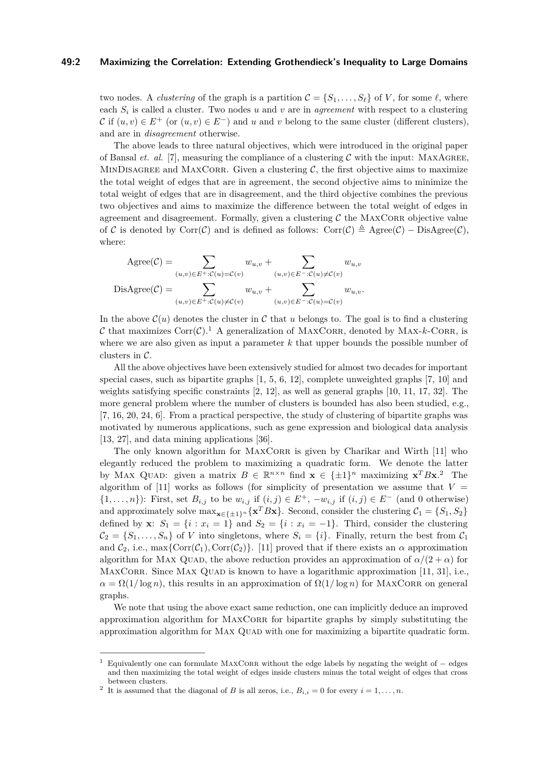## **49:2 Maximizing the Correlation: Extending Grothendieck's Inequality to Large Domains**

two nodes. A *clustering* of the graph is a partition  $\mathcal{C} = \{S_1, \ldots, S_\ell\}$  of *V*, for some  $\ell$ , where each *S<sup>i</sup>* is called a cluster. Two nodes *u* and *v* are in *agreement* with respect to a clustering C if  $(u, v) \in E^+$  (or  $(u, v) \in E^-$ ) and u and v belong to the same cluster (different clusters), and are in *disagreement* otherwise.

The above leads to three natural objectives, which were introduced in the original paper of Bansal *et. al.* [\[7\]](#page-11-0), measuring the compliance of a clustering  $\mathcal C$  with the input: MAXAGREE, MINDISAGREE and MAXCORR. Given a clustering  $C$ , the first objective aims to maximize the total weight of edges that are in agreement, the second objective aims to minimize the total weight of edges that are in disagreement, and the third objective combines the previous two objectives and aims to maximize the difference between the total weight of edges in agreement and disagreement. Formally, given a clustering  $C$  the MAXCORR objective value of C is denoted by Corr(C) and is defined as follows: Corr(C)  $\triangleq$  Agree(C) – DisAgree(C), where:

$$
Agree(C) = \sum_{(u,v)\in E^+:C(u)=C(v)} w_{u,v} + \sum_{(u,v)\in E^-.C(u)\neq C(v)} w_{u,v}
$$
  

$$
DisAgree(C) = \sum_{(u,v)\in E^+:C(u)\neq C(v)} w_{u,v} + \sum_{(u,v)\in E^-.C(u)=C(v)} w_{u,v}.
$$

In the above  $\mathcal{C}(u)$  denotes the cluster in  $\mathcal C$  that  $u$  belongs to. The goal is to find a clustering C that maximizes  $Corr(\mathcal{C})$ .<sup>[1](#page-1-0)</sup> A generalization of MAXCORR, denoted by MAX-k-CORR, is where we are also given as input a parameter *k* that upper bounds the possible number of clusters in C.

All the above objectives have been extensively studied for almost two decades for important special cases, such as bipartite graphs  $[1, 5, 6, 12]$  $[1, 5, 6, 12]$  $[1, 5, 6, 12]$  $[1, 5, 6, 12]$  $[1, 5, 6, 12]$  $[1, 5, 6, 12]$  $[1, 5, 6, 12]$ , complete unweighted graphs  $[7, 10]$  $[7, 10]$  $[7, 10]$  and weights satisfying specific constraints [\[2,](#page-11-7) [12\]](#page-11-5), as well as general graphs [\[10,](#page-11-6) [11,](#page-11-8) [17,](#page-12-5) [32\]](#page-12-6). The more general problem where the number of clusters is bounded has also been studied, e.g., [\[7,](#page-11-0) [16,](#page-12-7) [20,](#page-12-8) [24,](#page-12-9) [6\]](#page-11-4). From a practical perspective, the study of clustering of bipartite graphs was motivated by numerous applications, such as gene expression and biological data analysis [\[13,](#page-11-9) [27\]](#page-12-10), and data mining applications [\[36\]](#page-13-1).

The only known algorithm for MAXCORR is given by Charikar and Wirth [\[11\]](#page-11-8) who elegantly reduced the problem to maximizing a quadratic form. We denote the latter by MAX QUAD: given a matrix  $B \in \mathbb{R}^{n \times n}$  find  $\mathbf{x} \in {\{\pm 1\}}^n$  maximizing  $\mathbf{x}^T B \mathbf{x}$ . The algorithm of  $[11]$  works as follows (for simplicity of presentation we assume that  $V =$ { $1, \ldots, n$ }): First, set  $B_{i,j}$  to be  $w_{i,j}$  if  $(i,j) \in E^+$ ,  $-w_{i,j}$  if  $(i,j) \in E^-$  (and 0 otherwise) and approximately solve  $\max_{\mathbf{x} \in \{\pm 1\}^n} {\mathbf{x}^T B \mathbf{x}}$ . Second, consider the clustering  $C_1 = \{S_1, S_2\}$ defined by **x**:  $S_1 = \{i : x_i = 1\}$  and  $S_2 = \{i : x_i = -1\}$ . Third, consider the clustering  $C_2 = \{S_1, \ldots, S_n\}$  of *V* into singletons, where  $S_i = \{i\}$ . Finally, return the best from  $C_1$ and  $C_2$ , i.e., max{ $Corr(C_1)$ ,  $Corr(C_2)$ }. [\[11\]](#page-11-8) proved that if there exists an  $\alpha$  approximation algorithm for Max Quad, the above reduction provides an approximation of  $\alpha/(2 + \alpha)$  for MAXCORR. Since MAX QUAD is known to have a logarithmic approximation  $[11, 31]$  $[11, 31]$  $[11, 31]$ , i.e.,  $\alpha = \Omega(1/\log n)$ , this results in an approximation of  $\Omega(1/\log n)$  for MAXCORR on general graphs.

We note that using the above exact same reduction, one can implicitly deduce an improved approximation algorithm for MAXCORR for bipartite graphs by simply substituting the approximation algorithm for MAX QUAD with one for maximizing a bipartite quadratic form.

<span id="page-1-0"></span><sup>1</sup> Equivalently one can formulate MaxCorr without the edge labels by negating the weight of − edges and then maximizing the total weight of edges inside clusters minus the total weight of edges that cross between clusters.

<span id="page-1-1"></span><sup>&</sup>lt;sup>2</sup> It is assumed that the diagonal of *B* is all zeros, i.e.,  $B_{i,i} = 0$  for every  $i = 1, \ldots, n$ .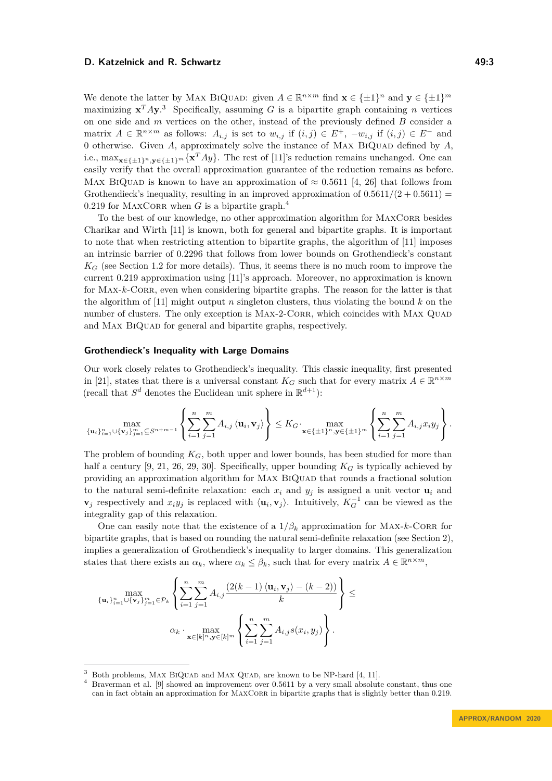We denote the latter by MAX BIQUAD: given  $A \in \mathbb{R}^{n \times m}$  find  $\mathbf{x} \in {\{\pm 1\}}^n$  and  $\mathbf{y} \in {\{\pm 1\}}^m$ maximizing  $x^T A y$ .<sup>[3](#page-2-0)</sup> Specifically, assuming *G* is a bipartite graph containing *n* vertices on one side and *m* vertices on the other, instead of the previously defined *B* consider a matrix  $A \in \mathbb{R}^{n \times m}$  as follows:  $A_{i,j}$  is set to  $w_{i,j}$  if  $(i,j) \in E^+$ ,  $-w_{i,j}$  if  $(i,j) \in E^-$  and 0 otherwise. Given  $A$ , approximately solve the instance of MAX BIQUAD defined by  $A$ , i.e., max**x**∈{±1}*n,***y**∈{±1}*<sup>m</sup>*{**x** *<sup>T</sup> Ay*}. The rest of [\[11\]](#page-11-8)'s reduction remains unchanged. One can easily verify that the overall approximation guarantee of the reduction remains as before. Max BIQUAD is known to have an approximation of  $\approx 0.5611$  [\[4,](#page-11-10) [26\]](#page-12-12) that follows from Grothendieck's inequality, resulting in an improved approximation of  $0.5611/(2 + 0.5611)$  = 0.219 for MAXCORR when *G* is a bipartite graph.<sup>[4](#page-2-1)</sup>

To the best of our knowledge, no other approximation algorithm for MAXCORR besides Charikar and Wirth [\[11\]](#page-11-8) is known, both for general and bipartite graphs. It is important to note that when restricting attention to bipartite graphs, the algorithm of [\[11\]](#page-11-8) imposes an intrinsic barrier of 0*.*2296 that follows from lower bounds on Grothendieck's constant  $K_G$  (see Section [1.2](#page-4-0) for more details). Thus, it seems there is no much room to improve the current 0*.*219 approximation using [\[11\]](#page-11-8)'s approach. Moreover, no approximation is known for MAX-*k*-CORR, even when considering bipartite graphs. The reason for the latter is that the algorithm of [\[11\]](#page-11-8) might output *n* singleton clusters, thus violating the bound *k* on the number of clusters. The only exception is MAX-2-CORR, which coincides with MAX QUAD and MAX BIQUAD for general and bipartite graphs, respectively.

#### **Grothendieck's Inequality with Large Domains**

Our work closely relates to Grothendieck's inequality. This classic inequality, first presented in [\[21\]](#page-12-13), states that there is a universal constant  $K_G$  such that for every matrix  $A \in \mathbb{R}^{n \times m}$ (recall that  $S^d$  denotes the Euclidean unit sphere in  $\mathbb{R}^{d+1}$ ):

$$
\max_{\{\mathbf{u}_i\}_{i=1}^n\cup{\{\mathbf{v}_j\}_{j=1}^m\subseteq S^{n+m-1}}}\left\{\sum_{i=1}^n\sum_{j=1}^m A_{i,j}\left\langle\mathbf{u}_i,\mathbf{v}_j\right\rangle\right\}\leq K_G\cdot\max_{\mathbf{x}\in\{\pm 1\}^n,\mathbf{y}\in\{\pm 1\}^m}\left\{\sum_{i=1}^n\sum_{j=1}^m A_{i,j}x_iy_j\right\}.
$$

The problem of bounding *KG*, both upper and lower bounds, has been studied for more than half a century  $[9, 21, 26, 29, 30]$  $[9, 21, 26, 29, 30]$  $[9, 21, 26, 29, 30]$  $[9, 21, 26, 29, 30]$  $[9, 21, 26, 29, 30]$  $[9, 21, 26, 29, 30]$  $[9, 21, 26, 29, 30]$  $[9, 21, 26, 29, 30]$  $[9, 21, 26, 29, 30]$ . Specifically, upper bounding  $K_G$  is typically achieved by providing an approximation algorithm for MAX BIQUAD that rounds a fractional solution to the natural semi-definite relaxation: each  $x_i$  and  $y_j$  is assigned a unit vector  $\mathbf{u}_i$  and **v**<sub>*j*</sub> respectively and  $x_i y_j$  is replaced with  $\langle \mathbf{u}_i, \mathbf{v}_j \rangle$ . Intuitively,  $K_G^{-1}$  can be viewed as the integrality gap of this relaxation.

One can easily note that the existence of a  $1/\beta_k$  approximation for MAX-*k*-CORR for bipartite graphs, that is based on rounding the natural semi-definite relaxation (see Section [2\)](#page-5-0), implies a generalization of Grothendieck's inequality to larger domains. This generalization states that there exists an  $\alpha_k$ , where  $\alpha_k \leq \beta_k$ , such that for every matrix  $A \in \mathbb{R}^{n \times m}$ ,

$$
\left\{\max_{\{\mathbf{u}_i\}_{i=1}^n\cup\{\mathbf{v}_j\}_{j=1}^m\in\mathcal{P}_k}\left\{\sum_{i=1}^n\sum_{j=1}^m A_{i,j}\frac{\left(2(k-1)\langle\mathbf{u}_i,\mathbf{v}_j\rangle-(k-2)\right)}{k}\right\}\leq
$$

$$
\alpha_k \cdot \max_{\mathbf{x}\in[k]^n,\mathbf{y}\in[k]^m} \left\{\sum_{i=1}^n\sum_{j=1}^m A_{i,j}s(x_i,y_j)\right\}.
$$

<span id="page-2-0"></span>Both problems, MAX BIQUAD and MAX QUAD, are known to be NP-hard [\[4,](#page-11-10) [11\]](#page-11-8).

<span id="page-2-1"></span><sup>4</sup> Braverman et al. [\[9\]](#page-11-11) showed an improvement over 0*.*5611 by a very small absolute constant, thus one can in fact obtain an approximation for MAXCORR in bipartite graphs that is slightly better than 0.219.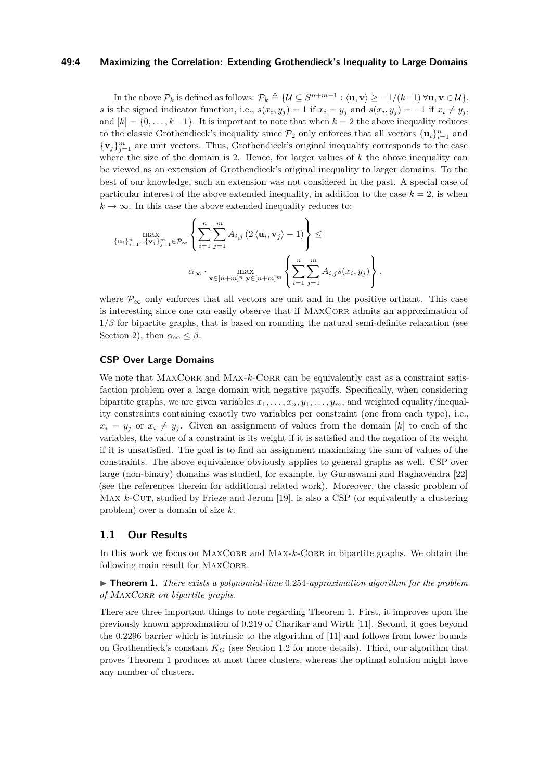## **49:4 Maximizing the Correlation: Extending Grothendieck's Inequality to Large Domains**

In the above  $\mathcal{P}_k$  is defined as follows:  $\mathcal{P}_k \triangleq \{ \mathcal{U} \subseteq S^{n+m-1} : \langle \mathbf{u}, \mathbf{v} \rangle \ge -1/(k-1) \ \forall \mathbf{u}, \mathbf{v} \in \mathcal{U} \},\$ s is the signed indicator function, i.e.,  $s(x_i, y_j) = 1$  if  $x_i = y_j$  and  $s(x_i, y_j) = -1$  if  $x_i \neq y_j$ , and  $[k] = \{0, \ldots, k-1\}$ . It is important to note that when  $k = 2$  the above inequality reduces to the classic Grothendieck's inequality since  $\mathcal{P}_2$  only enforces that all vectors  $\{\mathbf{u}_i\}_{i=1}^n$  and  ${\mathbf v}_j\}_{j=1}^m$  are unit vectors. Thus, Grothendieck's original inequality corresponds to the case where the size of the domain is 2. Hence, for larger values of *k* the above inequality can be viewed as an extension of Grothendieck's original inequality to larger domains. To the best of our knowledge, such an extension was not considered in the past. A special case of particular interest of the above extended inequality, in addition to the case  $k = 2$ , is when  $k \to \infty$ . In this case the above extended inequality reduces to:

$$
\max_{\{\mathbf{u}_i\}_{i=1}^n \cup \{\mathbf{v}_j\}_{j=1}^m \in \mathcal{P}_{\infty}} \left\{ \sum_{i=1}^n \sum_{j=1}^m A_{i,j} \left(2 \langle \mathbf{u}_i, \mathbf{v}_j \rangle - 1\right) \right\} \le
$$

$$
\alpha_{\infty} \cdot \max_{\mathbf{x} \in [n+m]^n, \mathbf{y} \in [n+m]^m} \left\{ \sum_{i=1}^n \sum_{j=1}^m A_{i,j} s(x_i, y_j) \right\},\,
$$

where  $\mathcal{P}_{\infty}$  only enforces that all vectors are unit and in the positive orthant. This case is interesting since one can easily observe that if MAXCORR admits an approximation of  $1/\beta$  for bipartite graphs, that is based on rounding the natural semi-definite relaxation (see Section [2\)](#page-5-0), then  $\alpha_{\infty} \leq \beta$ .

# **CSP Over Large Domains**

We note that MAXCORR and MAX- $k$ -CORR can be equivalently cast as a constraint satisfaction problem over a large domain with negative payoffs. Specifically, when considering bipartite graphs, we are given variables  $x_1, \ldots, x_n, y_1, \ldots, y_m$ , and weighted equality/inequality constraints containing exactly two variables per constraint (one from each type), i.e.,  $x_i = y_i$  or  $x_i \neq y_i$ . Given an assignment of values from the domain [*k*] to each of the variables, the value of a constraint is its weight if it is satisfied and the negation of its weight if it is unsatisfied. The goal is to find an assignment maximizing the sum of values of the constraints. The above equivalence obviously applies to general graphs as well. CSP over large (non-binary) domains was studied, for example, by Guruswami and Raghavendra [\[22\]](#page-12-16) (see the references therein for additional related work). Moreover, the classic problem of Max *k*-Cur, studied by Frieze and Jerum [\[19\]](#page-12-17), is also a CSP (or equivalently a clustering problem) over a domain of size *k*.

# **1.1 Our Results**

In this work we focus on MAXCORR and MAX-*k*-CORR in bipartite graphs. We obtain the following main result for MAXCORR.

<span id="page-3-0"></span>I **Theorem 1.** *There exists a polynomial-time* 0*.*254*-approximation algorithm for the problem of* MAXCORR *on bipartite graphs.* 

There are three important things to note regarding Theorem [1.](#page-3-0) First, it improves upon the previously known approximation of 0*.*219 of Charikar and Wirth [\[11\]](#page-11-8). Second, it goes beyond the 0*.*2296 barrier which is intrinsic to the algorithm of [\[11\]](#page-11-8) and follows from lower bounds on Grothendieck's constant  $K_G$  (see Section [1.2](#page-4-0) for more details). Third, our algorithm that proves Theorem [1](#page-3-0) produces at most three clusters, whereas the optimal solution might have any number of clusters.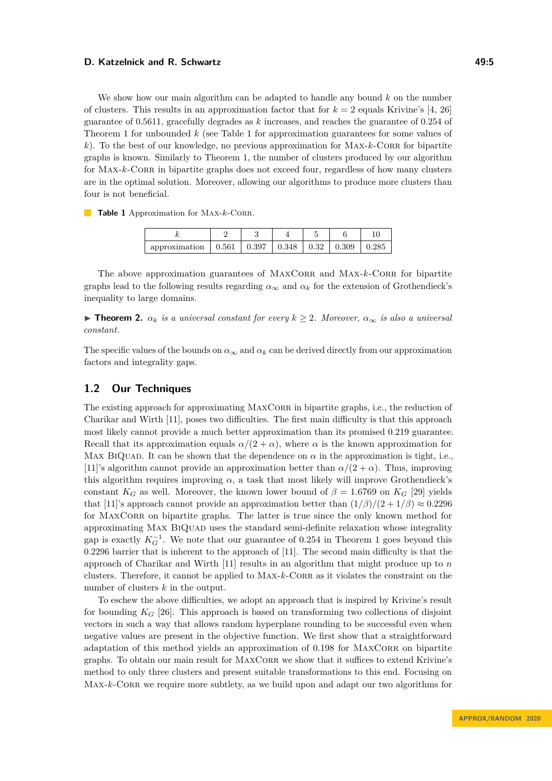#### **D. Katzelnick and R. Schwartz 49:5 19:5 19:5 19:5 19:5**

We show how our main algorithm can be adapted to handle any bound *k* on the number of clusters. This results in an approximation factor that for  $k = 2$  equals Krivine's [\[4,](#page-11-10) [26\]](#page-12-12) guarantee of 0*.*5611, gracefully degrades as *k* increases, and reaches the guarantee of 0*.*254 of Theorem [1](#page-3-0) for unbounded *k* (see Table [1](#page-4-1) for approximation guarantees for some values of *k*). To the best of our knowledge, no previous approximation for MAX-*k*-CORR for bipartite graphs is known. Similarly to Theorem [1,](#page-3-0) the number of clusters produced by our algorithm for MAX-*k*-CORR in bipartite graphs does not exceed four, regardless of how many clusters are in the optimal solution. Moreover, allowing our algorithms to produce more clusters than four is not beneficial.

<span id="page-4-1"></span>**Table 1** Approximation for MAX-*k*-CORR.

| approximation | 0.561 | 0.397 | 0.348 | 0.32 | 0.309 | 0.285 |
|---------------|-------|-------|-------|------|-------|-------|

The above approximation guarantees of MAXCORR and MAX-*k*-CORR for bipartite graphs lead to the following results regarding  $\alpha_{\infty}$  and  $\alpha_k$  for the extension of Grothendieck's inequality to large domains.

<span id="page-4-2"></span>**► Theorem 2.**  $\alpha_k$  *is a universal constant for every*  $k \geq 2$ *. Moreover,*  $\alpha_{\infty}$  *is also a universal constant.*

The specific values of the bounds on  $\alpha_{\infty}$  and  $\alpha_k$  can be derived directly from our approximation factors and integrality gaps.

# <span id="page-4-0"></span>**1.2 Our Techniques**

The existing approach for approximating MAXCORR in bipartite graphs, i.e., the reduction of Charikar and Wirth [\[11\]](#page-11-8), poses two difficulties. The first main difficulty is that this approach most likely cannot provide a much better approximation than its promised 0*.*219 guarantee. Recall that its approximation equals  $\alpha/(2 + \alpha)$ , where  $\alpha$  is the known approximation for Max BIQUAD. It can be shown that the dependence on  $\alpha$  in the approximation is tight, i.e., [\[11\]](#page-11-8)'s algorithm cannot provide an approximation better than  $\alpha/(2 + \alpha)$ . Thus, improving this algorithm requires improving  $\alpha$ , a task that most likely will improve Grothendieck's constant  $K_G$  as well. Moreover, the known lower bound of  $\beta = 1.6769$  on  $K_G$  [\[29\]](#page-12-14) yields that [\[11\]](#page-11-8)'s approach cannot provide an approximation better than  $(1/\beta)/(2 + 1/\beta) \approx 0.2296$ for MAXCORR on bipartite graphs. The latter is true since the only known method for approximating MAX BIQUAD uses the standard semi-definite relaxation whose integrality gap is exactly  $K_G^{-1}$ . We note that our guarantee of 0.254 in Theorem [1](#page-3-0) goes beyond this 0*.*2296 barrier that is inherent to the approach of [\[11\]](#page-11-8). The second main difficulty is that the approach of Charikar and Wirth [\[11\]](#page-11-8) results in an algorithm that might produce up to *n* clusters. Therefore, it cannot be applied to MAX-*k*-CORR as it violates the constraint on the number of clusters *k* in the output.

To eschew the above difficulties, we adopt an approach that is inspired by Krivine's result for bounding  $K_G$  [\[26\]](#page-12-12). This approach is based on transforming two collections of disjoint vectors in such a way that allows random hyperplane rounding to be successful even when negative values are present in the objective function. We first show that a straightforward adaptation of this method yields an approximation of 0.198 for MAXCORR on bipartite graphs. To obtain our main result for MAXCORR we show that it suffices to extend Krivine's method to only three clusters and present suitable transformations to this end. Focusing on MAX-k-CORR we require more subtlety, as we build upon and adapt our two algorithms for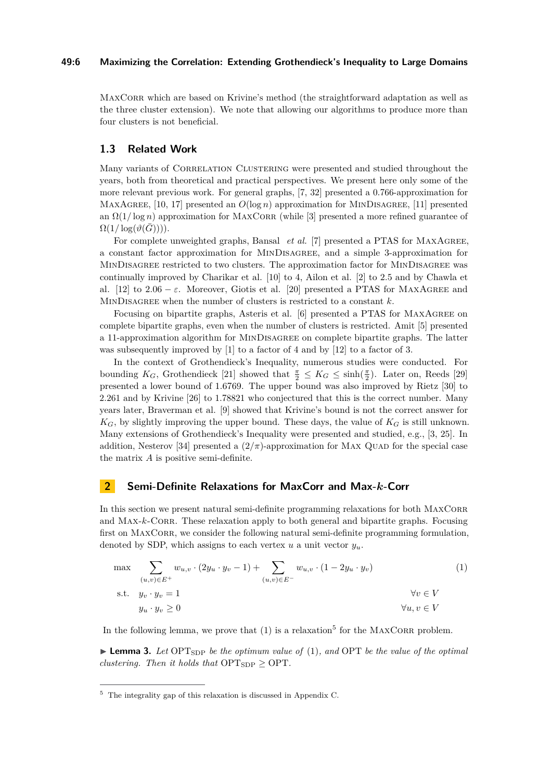## **49:6 Maximizing the Correlation: Extending Grothendieck's Inequality to Large Domains**

MAXCORR which are based on Krivine's method (the straightforward adaptation as well as the three cluster extension). We note that allowing our algorithms to produce more than four clusters is not beneficial.

# **1.3 Related Work**

Many variants of CORRELATION CLUSTERING were presented and studied throughout the years, both from theoretical and practical perspectives. We present here only some of the more relevant previous work. For general graphs, [\[7,](#page-11-0) [32\]](#page-12-6) presented a 0*.*766-approximation for MAXAGREE, [\[10,](#page-11-6) [17\]](#page-12-5) presented an  $O(\log n)$  approximation for MINDISAGREE, [\[11\]](#page-11-8) presented an  $\Omega(1/\log n)$  approximation for MAXCORR (while [\[3\]](#page-11-12) presented a more refined guarantee of  $\Omega(1/\log(\vartheta(G)))$ .

For complete unweighted graphs, Bansal *et al.* [\[7\]](#page-11-0) presented a PTAS for MAXAGREE, a constant factor approximation for MinDisagree, and a simple 3-approximation for MINDISAGREE restricted to two clusters. The approximation factor for MINDISAGREE was continually improved by Charikar et al. [\[10\]](#page-11-6) to 4, Ailon et al. [\[2\]](#page-11-7) to 2*.*5 and by Chawla et al. [\[12\]](#page-11-5) to  $2.06 - \varepsilon$ . Moreover, Giotis et al. [\[20\]](#page-12-8) presented a PTAS for MAXAGREE and MINDISAGREE when the number of clusters is restricted to a constant k.

Focusing on bipartite graphs, Asteris et al. [\[6\]](#page-11-4) presented a PTAS for MaxAgree on complete bipartite graphs, even when the number of clusters is restricted. Amit [\[5\]](#page-11-1) presented a 11-approximation algorithm for MINDISAGREE on complete bipartite graphs. The latter was subsequently improved by [\[1\]](#page-11-3) to a factor of 4 and by [\[12\]](#page-11-5) to a factor of 3.

In the context of Grothendieck's Inequality, numerous studies were conducted. For bounding  $K_G$ , Grothendieck [\[21\]](#page-12-13) showed that  $\frac{\pi}{2} \leq K_G \leq \sinh(\frac{\pi}{2})$ . Later on, Reeds [\[29\]](#page-12-14) presented a lower bound of 1*.*6769. The upper bound was also improved by Rietz [\[30\]](#page-12-15) to 2.261 and by Krivine [\[26\]](#page-12-12) to 1.78821 who conjectured that this is the correct number. Many years later, Braverman et al. [\[9\]](#page-11-11) showed that Krivine's bound is not the correct answer for  $K_G$ , by slightly improving the upper bound. These days, the value of  $K_G$  is still unknown. Many extensions of Grothendieck's Inequality were presented and studied, e.g., [\[3,](#page-11-12) [25\]](#page-12-18). In addition, Nesterov [\[34\]](#page-13-2) presented a  $(2/\pi)$ -approximation for MAX QUAD for the special case the matrix *A* is positive semi-definite.

# <span id="page-5-0"></span>**2 Semi-Definite Relaxations for MaxCorr and Max-***k***-Corr**

In this section we present natural semi-definite programming relaxations for both MAXCORR and MAX-*k*-CORR. These relaxation apply to both general and bipartite graphs. Focusing first on MAXCORR, we consider the following natural semi-definite programming formulation, denoted by SDP, which assigns to each vertex  $u$  a unit vector  $y_u$ .

<span id="page-5-1"></span>
$$
\max \sum_{\substack{(u,v)\in E^+\\(u,v)\in E^+}} w_{u,v} \cdot (2y_u \cdot y_v - 1) + \sum_{\substack{(u,v)\in E^-\\(u,v)\in E^-}} w_{u,v} \cdot (1 - 2y_u \cdot y_v)
$$
\n
$$
\forall v \in V
$$
\n
$$
\forall u \cdot y_v \ge 0
$$
\n
$$
(1)
$$
\n
$$
\forall v \in V
$$
\n
$$
\forall u, v \in V
$$

<span id="page-5-3"></span>In the following lemma, we prove that  $(1)$  is a relaxation<sup>[5](#page-5-2)</sup> for the MAXCORR problem.

 $\blacktriangleright$  **Lemma 3.** Let OPT<sub>SDP</sub> be the optimum value of [\(1\)](#page-5-1), and OPT be the value of the optimal *clustering. Then it holds that*  $\text{OPT}_{\text{SDP}} \geq \text{OPT}$ .

<span id="page-5-2"></span><sup>5</sup> The integrality gap of this relaxation is discussed in Appendix [C.](#page-17-1)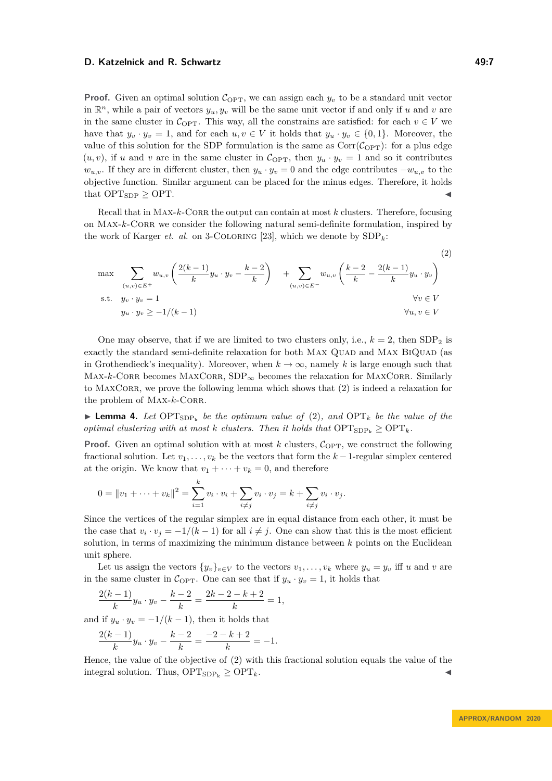## **D. Katzelnick and R. Schwartz 49:7 19:2 49:7 49:7**

**Proof.** Given an optimal solution  $C_{\text{OPT}}$ , we can assign each  $y_v$  to be a standard unit vector in  $\mathbb{R}^n$ , while a pair of vectors  $y_u, y_v$  will be the same unit vector if and only if *u* and *v* are in the same cluster in  $C_{\text{OPT}}$ . This way, all the constrains are satisfied: for each  $v \in V$  we have that  $y_v \cdot y_v = 1$ , and for each  $u, v \in V$  it holds that  $y_u \cdot y_v \in \{0, 1\}$ . Moreover, the value of this solution for the SDP formulation is the same as  $Corr(C_{\text{OPT}})$ : for a plus edge  $(u, v)$ , if *u* and *v* are in the same cluster in C<sub>OPT</sub>, then  $y_u \cdot y_v = 1$  and so it contributes  $w_{u,v}$ . If they are in different cluster, then  $y_u \cdot y_v = 0$  and the edge contributes  $-w_{u,v}$  to the objective function. Similar argument can be placed for the minus edges. Therefore, it holds that  $OPT_{SDP} \geq OPT$ .

Recall that in MAX- $k$ -CORR the output can contain at most  $k$  clusters. Therefore, focusing on MAX-*k*-CORR we consider the following natural semi-definite formulation, inspired by the work of Karger *et. al.* on 3-COLORING [\[23\]](#page-12-19), which we denote by  $SDP_k$ :

<span id="page-6-0"></span>
$$
\max \sum_{(u,v)\in E^{+}} w_{u,v} \left( \frac{2(k-1)}{k} y_u \cdot y_v - \frac{k-2}{k} \right) + \sum_{(u,v)\in E^{-}} w_{u,v} \left( \frac{k-2}{k} - \frac{2(k-1)}{k} y_u \cdot y_v \right)
$$
\n
$$
\text{s.t.} \quad y_v \cdot y_v = 1 \qquad \forall v \in V
$$
\n
$$
y_u \cdot y_v \ge -1/(k-1) \qquad \forall u, v \in V
$$
\n
$$
\forall u, v \in V
$$

One may observe, that if we are limited to two clusters only, i.e.,  $k = 2$ , then SDP<sub>2</sub> is exactly the standard semi-definite relaxation for both MAX QUAD and MAX BIQUAD (as in Grothendieck's inequality). Moreover, when  $k \to \infty$ , namely k is large enough such that  $\text{MAX-}k\text{-}\text{CORR}$  becomes  $\text{MAXCORR}$ ,  $\text{SDP}_{\infty}$  becomes the relaxation for  $\text{MAXCORR}$ . Similarly to MAXCORR, we prove the following lemma which shows that [\(2\)](#page-6-0) is indeed a relaxation for the problem of MAX- $k$ -CORR.

**Lemma 4.** Let  $\text{OPT}_{\text{SDP}_k}$  be the optimum value of [\(2\)](#page-6-0), and  $\text{OPT}_k$  be the value of the *optimal clustering with at most k clusters. Then it holds that*  $\text{OPT}_{\text{SDP}_k} \geq \text{OPT}_k$ *.* 

**Proof.** Given an optimal solution with at most  $k$  clusters,  $C_{\text{OPT}}$ , we construct the following fractional solution. Let  $v_1, \ldots, v_k$  be the vectors that form the  $k-1$ -regular simplex centered at the origin. We know that  $v_1 + \cdots + v_k = 0$ , and therefore

$$
0 = ||v_1 + \dots + v_k||^2 = \sum_{i=1}^k v_i \cdot v_i + \sum_{i \neq j} v_i \cdot v_j = k + \sum_{i \neq j} v_i \cdot v_j.
$$

Since the vertices of the regular simplex are in equal distance from each other, it must be the case that  $v_i \cdot v_j = -1/(k-1)$  for all  $i \neq j$ . One can show that this is the most efficient solution, in terms of maximizing the minimum distance between *k* points on the Euclidean unit sphere.

Let us assign the vectors  $\{y_v\}_{v \in V}$  to the vectors  $v_1, \ldots, v_k$  where  $y_u = y_v$  iff *u* and *v* are in the same cluster in  $C_{\text{OPT}}$ . One can see that if  $y_u \cdot y_v = 1$ , it holds that

$$
\frac{2(k-1)}{k}y_u \cdot y_v - \frac{k-2}{k} = \frac{2k-2-k+2}{k} = 1,
$$

and if  $y_u \cdot y_v = -1/(k-1)$ , then it holds that

$$
\frac{2(k-1)}{k}y_u \cdot y_v - \frac{k-2}{k} = \frac{-2-k+2}{k} = -1.
$$

Hence, the value of the objective of [\(2\)](#page-6-0) with this fractional solution equals the value of the integral solution. Thus,  $\text{OPT}_{\text{SDP}_k} \geq \text{OPT}_k$ .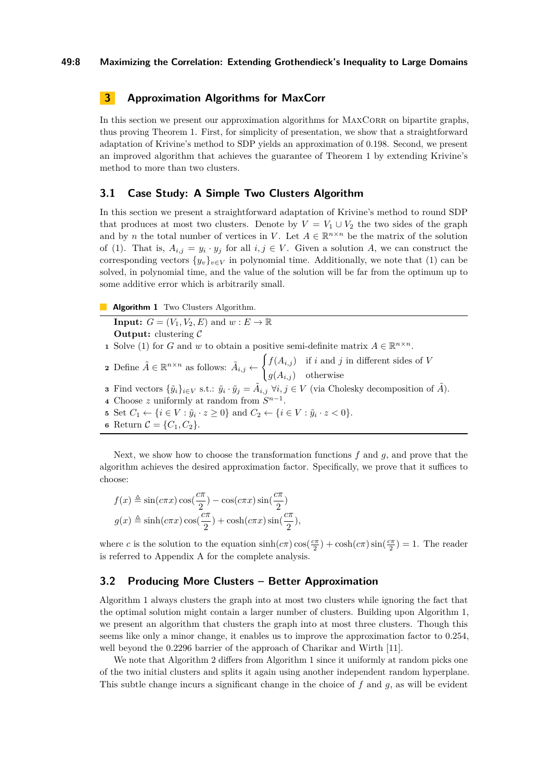## **49:8 Maximizing the Correlation: Extending Grothendieck's Inequality to Large Domains**

# **3 Approximation Algorithms for MaxCorr**

In this section we present our approximation algorithms for MAXCORR on bipartite graphs, thus proving Theorem [1.](#page-3-0) First, for simplicity of presentation, we show that a straightforward adaptation of Krivine's method to SDP yields an approximation of 0*.*198. Second, we present an improved algorithm that achieves the guarantee of Theorem [1](#page-3-0) by extending Krivine's method to more than two clusters.

## **3.1 Case Study: A Simple Two Clusters Algorithm**

In this section we present a straightforward adaptation of Krivine's method to round SDP that produces at most two clusters. Denote by  $V = V_1 \cup V_2$  the two sides of the graph and by *n* the total number of vertices in *V*. Let  $A \in \mathbb{R}^{n \times n}$  be the matrix of the solution of [\(1\)](#page-5-1). That is,  $A_{i,j} = y_i \cdot y_j$  for all  $i, j \in V$ . Given a solution *A*, we can construct the corresponding vectors  $\{y_v\}_{v \in V}$  in polynomial time. Additionally, we note that [\(1\)](#page-5-1) can be solved, in polynomial time, and the value of the solution will be far from the optimum up to some additive error which is arbitrarily small.

**Algorithm 1** Two Clusters Algorithm.

<span id="page-7-0"></span>**Input:**  $G = (V_1, V_2, E)$  and  $w : E \to \mathbb{R}$ **Output:** clustering C **1** Solve [\(1\)](#page-5-1) for *G* and *w* to obtain a positive semi-definite matrix  $A \in \mathbb{R}^{n \times n}$ . **2** Define  $\tilde{A} \in \mathbb{R}^{n \times n}$  as follows:  $\tilde{A}_{i,j} \leftarrow$  $\int f(A_{i,j})$  if *i* and *j* in different sides of *V*  $g(A_{i,j})$  otherwise **3** Find vectors  $\{\tilde{y}_i\}_{i \in V}$  s.t.:  $\tilde{y}_i \cdot \tilde{y}_j = \tilde{A}_{i,j} \ \forall i, j \in V$  (via Cholesky decomposition of  $\tilde{A}$ ). **4** Choose *z* uniformly at random from  $S^{n-1}$ . **5** Set  $C_1 \leftarrow \{i \in V : \tilde{y}_i \cdot z \ge 0\}$  and  $C_2 \leftarrow \{i \in V : \tilde{y}_i \cdot z < 0\}.$ **6** Return  $C = \{C_1, C_2\}.$ 

Next, we show how to choose the transformation functions *f* and *g*, and prove that the algorithm achieves the desired approximation factor. Specifically, we prove that it suffices to choose:

$$
f(x) \triangleq \sin(c\pi x)\cos(\frac{c\pi}{2}) - \cos(c\pi x)\sin(\frac{c\pi}{2})
$$

$$
g(x) \triangleq \sinh(c\pi x)\cos(\frac{c\pi}{2}) + \cosh(c\pi x)\sin(\frac{c\pi}{2}),
$$

where *c* is the solution to the equation  $\sinh(c\pi)\cos(\frac{c\pi}{2}) + \cosh(c\pi)\sin(\frac{c\pi}{2}) = 1$ . The reader is referred to Appendix [A](#page-13-3) for the complete analysis.

# **3.2 Producing More Clusters – Better Approximation**

Algorithm [1](#page-7-0) always clusters the graph into at most two clusters while ignoring the fact that the optimal solution might contain a larger number of clusters. Building upon Algorithm [1,](#page-7-0) we present an algorithm that clusters the graph into at most three clusters. Though this seems like only a minor change, it enables us to improve the approximation factor to 0*.*254, well beyond the 0*.*2296 barrier of the approach of Charikar and Wirth [\[11\]](#page-11-8).

We note that Algorithm [2](#page-8-0) differs from Algorithm [1](#page-7-0) since it uniformly at random picks one of the two initial clusters and splits it again using another independent random hyperplane. This subtle change incurs a significant change in the choice of *f* and *g*, as will be evident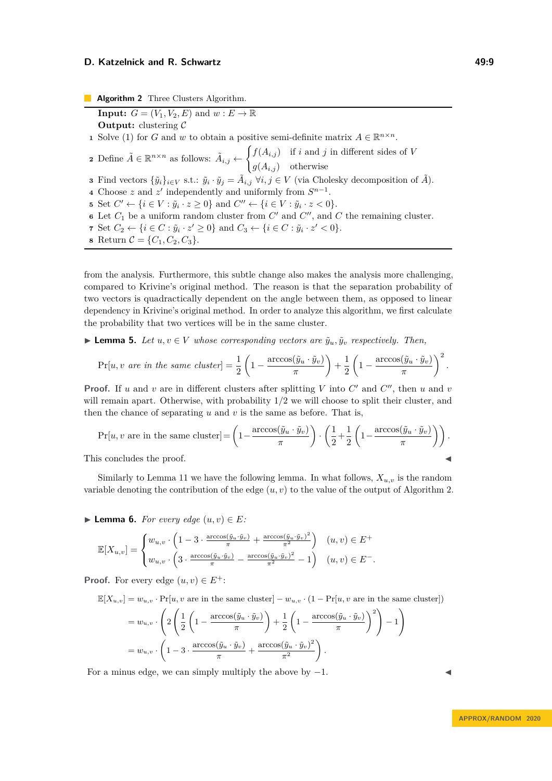<span id="page-8-0"></span>**Algorithm 2** Three Clusters Algorithm. **Input:**  $G = (V_1, V_2, E)$  and  $w : E \to \mathbb{R}$ **Output:** clustering C Solve [\(1\)](#page-5-1) for *G* and *w* to obtain a positive semi-definite matrix  $A \in \mathbb{R}^{n \times n}$ . Define  $\tilde{A} \in \mathbb{R}^{n \times n}$  as follows:  $\tilde{A}_{i,j} \leftarrow$  $\int f(A_{i,j})$  if *i* and *j* in different sides of *V*  $g(A_{i,j})$  otherwise Find vectors  $\{\tilde{y}_i\}_{i \in V}$  s.t.:  $\tilde{y}_i \cdot \tilde{y}_j = \tilde{A}_{i,j} \ \forall i, j \in V$  (via Cholesky decomposition of  $\tilde{A}$ ). Choose *z* and *z*<sup>'</sup> independently and uniformly from  $S^{n-1}$ . Set  $C' \leftarrow \{i \in V : \tilde{y}_i \cdot z \ge 0\}$  and  $C'' \leftarrow \{i \in V : \tilde{y}_i \cdot z < 0\}.$  Let  $C_1$  be a uniform random cluster from  $C'$  and  $C''$ , and  $C$  the remaining cluster. Set  $C_2$  ← {*i* ∈ *C* :  $\tilde{y}_i \cdot z' \ge 0$ } and  $C_3$  ← {*i* ∈ *C* :  $\tilde{y}_i \cdot z' < 0$ }. Return  $C = \{C_1, C_2, C_3\}.$ 

from the analysis. Furthermore, this subtle change also makes the analysis more challenging, compared to Krivine's original method. The reason is that the separation probability of two vectors is quadractically dependent on the angle between them, as opposed to linear dependency in Krivine's original method. In order to analyze this algorithm, we first calculate the probability that two vertices will be in the same cluster.

► **Lemma 5.** *Let*  $u, v \in V$  *whose corresponding vectors are*  $\tilde{y}_u, \tilde{y}_v$  *respectively. Then,* 

$$
\Pr[u, v \text{ are in the same cluster}] = \frac{1}{2} \left( 1 - \frac{\arccos(\tilde{y}_u \cdot \tilde{y}_v)}{\pi} \right) + \frac{1}{2} \left( 1 - \frac{\arccos(\tilde{y}_u \cdot \tilde{y}_v)}{\pi} \right)^2.
$$

**Proof.** If *u* and *v* are in different clusters after splitting *V* into  $C'$  and  $C''$ , then *u* and *v* will remain apart. Otherwise, with probability 1*/*2 we will choose to split their cluster, and then the chance of separating  $u$  and  $v$  is the same as before. That is,

$$
\Pr[u, v \text{ are in the same cluster}] = \left(1 - \frac{\arccos(\tilde{y}_u \cdot \tilde{y}_v)}{\pi}\right) \cdot \left(\frac{1}{2} + \frac{1}{2} \left(1 - \frac{\arccos(\tilde{y}_u \cdot \tilde{y}_v)}{\pi}\right)\right).
$$
  
This concludes the proof.

Similarly to Lemma [11](#page-13-4) we have the following lemma. In what follows,  $X_{u,v}$  is the random variable denoting the contribution of the edge  $(u, v)$  to the value of the output of Algorithm [2.](#page-8-0)

<span id="page-8-1"></span>▶ **Lemma 6.** *For every edge*  $(u, v) \in E$ *:* 

$$
\mathbb{E}[X_{u,v}] = \begin{cases} w_{u,v} \cdot \left(1 - 3 \cdot \frac{\arccos(\tilde{y}_u \cdot \tilde{y}_v)}{\pi} + \frac{\arccos(\tilde{y}_u \cdot \tilde{y}_v)^2}{\pi^2}\right) & (u,v) \in E^+ \\ w_{u,v} \cdot \left(3 \cdot \frac{\arccos(\tilde{y}_u \cdot \tilde{y}_v)}{\pi} - \frac{\arccos(\tilde{y}_u \cdot \tilde{y}_v)^2}{\pi^2} - 1\right) & (u,v) \in E^- . \end{cases}
$$

**Proof.** For every edge  $(u, v) \in E^+$ :

$$
\mathbb{E}[X_{u,v}] = w_{u,v} \cdot \Pr[u, v \text{ are in the same cluster}] - w_{u,v} \cdot (1 - \Pr[u, v \text{ are in the same cluster}])
$$

$$
= w_{u,v} \cdot \left( 2 \left( \frac{1}{2} \left( 1 - \frac{\arccos(\tilde{y}_u \cdot \tilde{y}_v)}{\pi} \right) + \frac{1}{2} \left( 1 - \frac{\arccos(\tilde{y}_u \cdot \tilde{y}_v)}{\pi} \right)^2 \right) - 1 \right)
$$

$$
= w_{u,v} \cdot \left( 1 - 3 \cdot \frac{\arccos(\tilde{y}_u \cdot \tilde{y}_v)}{\pi} + \frac{\arccos(\tilde{y}_u \cdot \tilde{y}_v)^2}{\pi^2} \right).
$$

For a minus edge, we can simply multiply the above by  $-1$ .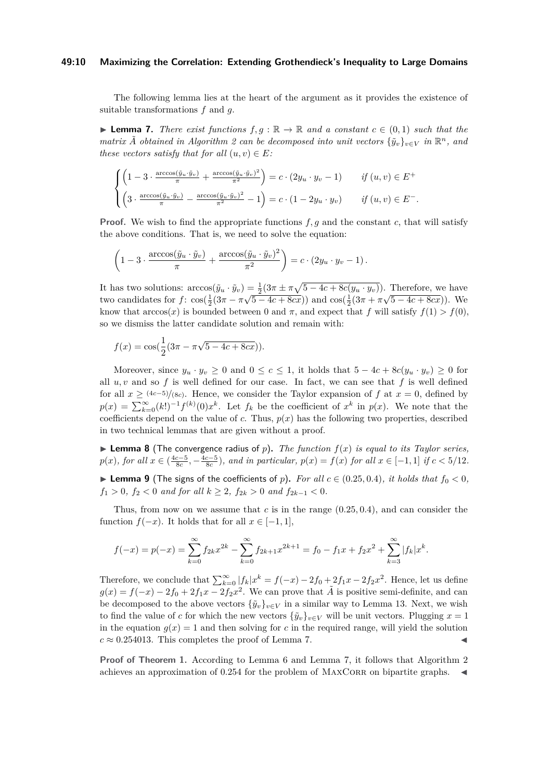## **49:10 Maximizing the Correlation: Extending Grothendieck's Inequality to Large Domains**

The following lemma lies at the heart of the argument as it provides the existence of suitable transformations *f* and *g*.

<span id="page-9-0"></span>**► Lemma 7.** *There exist functions*  $f, g : \mathbb{R} \to \mathbb{R}$  *and a constant*  $c \in (0, 1)$  *such that the matrix*  $\tilde{A}$  *obtained in Algorithm* [2](#page-8-0) *can be decomposed into unit vectors*  ${\tilde{y}_v}_{v \in V}$  *in*  $\mathbb{R}^n$ *, and these vectors satisfy that for all*  $(u, v) \in E$ *:* 

$$
\begin{cases}\n\left(1-3\cdot\frac{\arccos(\tilde{y}_u\cdot\tilde{y}_v)}{\pi} + \frac{\arccos(\tilde{y}_u\cdot\tilde{y}_v)^2}{\pi^2}\right) = c\cdot(2y_u\cdot y_v - 1) & \text{if } (u,v) \in E^+ \\
\left(3\cdot\frac{\arccos(\tilde{y}_u\cdot\tilde{y}_v)}{\pi} - \frac{\arccos(\tilde{y}_u\cdot\tilde{y}_v)^2}{\pi^2} - 1\right) = c\cdot(1-2y_u\cdot y_v) & \text{if } (u,v) \in E^-\n\end{cases}
$$

**Proof.** We wish to find the appropriate functions  $f, g$  and the constant c, that will satisfy the above conditions. That is, we need to solve the equation:

$$
\left(1-3\cdot\frac{\arccos(\tilde{y}_u\cdot\tilde{y}_v)}{\pi}+\frac{\arccos(\tilde{y}_u\cdot\tilde{y}_v)^2}{\pi^2}\right)=c\cdot(2y_u\cdot y_v-1).
$$

It has two solutions:  $\arccos(\tilde{y}_u \cdot \tilde{y}_v) = \frac{1}{2}(3\pi \pm \pi\sqrt{5-4c+8c(y_u \cdot y_v)})$ . Therefore, we have two candidates for  $f$ :  $\cos(\frac{1}{2}(3\pi - \pi\sqrt{5 - 4c + 8cx}))$  and  $\cos(\frac{1}{2}(3\pi + \pi\sqrt{5 - 4c + 8cx}))$ . We know that  $arccos(x)$  is bounded between 0 and  $\pi$ , and expect that f will satisfy  $f(1) > f(0)$ , so we dismiss the latter candidate solution and remain with:

$$
f(x) = \cos(\frac{1}{2}(3\pi - \pi\sqrt{5 - 4c + 8cx})).
$$

Moreover, since  $y_u \cdot y_v \geq 0$  and  $0 \leq c \leq 1$ , it holds that  $5 - 4c + 8c(y_u \cdot y_v) \geq 0$  for all  $u, v$  and so  $f$  is well defined for our case. In fact, we can see that  $f$  is well defined for all  $x \ge (4c-5)/(8c)$ . Hence, we consider the Taylor expansion of  $f$  at  $x = 0$ , defined by  $p(x) = \sum_{k=0}^{\infty} (k!)^{-1} f^{(k)}(0) x^k$ . Let  $f_k$  be the coefficient of  $x^k$  in  $p(x)$ . We note that the coefficients depend on the value of  $c$ . Thus,  $p(x)$  has the following two properties, described in two technical lemmas that are given without a proof.

 $\blacktriangleright$  **Lemma 8** (The convergence radius of *p*). The function  $f(x)$  is equal to its Taylor series,  $p(x)$ , for all  $x \in (\frac{4c-5}{8c}, -\frac{4c-5}{8c})$ , and in particular,  $p(x) = f(x)$  for all  $x \in [-1, 1]$  if  $c < 5/12$ .

▶ **Lemma 9** (The signs of the coefficients of *p*). For all  $c \in (0.25, 0.4)$ *, it holds that*  $f_0 < 0$ *, f*<sub>1</sub> > 0*, f*<sub>2</sub> < 0 *and for all*  $k \geq 2$ *, f*<sub>2*k*</sub> > 0 *and f*<sub>2*k*-1</sub> < 0*.* 

Thus, from now on we assume that *c* is in the range (0*.*25*,* 0*.*4), and can consider the function  $f(-x)$ . It holds that for all  $x \in [-1, 1]$ ,

$$
f(-x) = p(-x) = \sum_{k=0}^{\infty} f_{2k} x^{2k} - \sum_{k=0}^{\infty} f_{2k+1} x^{2k+1} = f_0 - f_1 x + f_2 x^2 + \sum_{k=3}^{\infty} |f_k| x^k.
$$

Therefore, we conclude that  $\sum_{k=0}^{\infty} |f_k| x^k = f(-x) - 2f_0 + 2f_1x - 2f_2x^2$ . Hence, let us define  $g(x) = f(-x) - 2f_0 + 2f_1x - 2f_2x^2$ . We can prove that  $\tilde{A}$  is positive semi-definite, and can be decomposed to the above vectors  ${\tilde{y}_v}_{v\in V}$  in a similar way to Lemma [13.](#page-13-5) Next, we wish to find the value of *c* for which the new vectors  ${\{\tilde{y}_v\}}_{v \in V}$  will be unit vectors. Plugging  $x = 1$ in the equation  $g(x) = 1$  and then solving for *c* in the required range, will yield the solution  $c \approx 0.254013$ . This completes the proof of Lemma [7.](#page-9-0)

**Proof of Theorem [1.](#page-3-0)** According to Lemma [6](#page-8-1) and Lemma [7,](#page-9-0) it follows that Algorithm [2](#page-8-0) achieves an approximation of  $0.254$  for the problem of MAXCORR on bipartite graphs.  $\blacktriangleleft$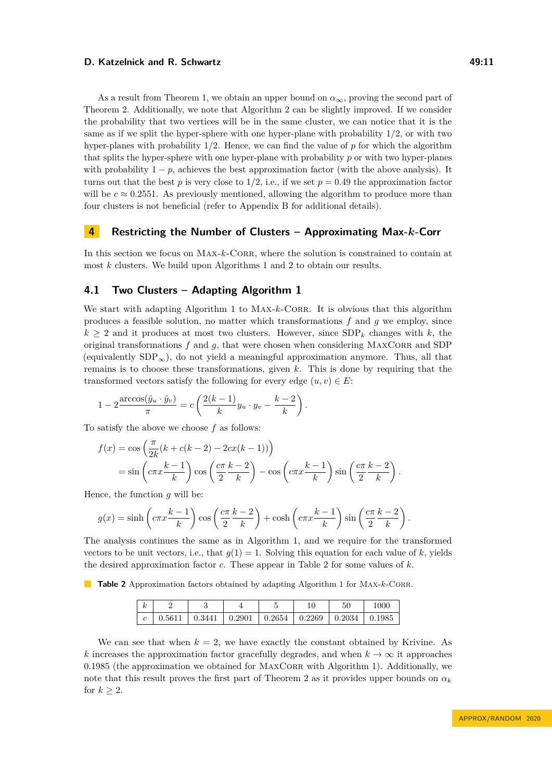As a result from Theorem [1,](#page-3-0) we obtain an upper bound on  $\alpha_{\infty}$ , proving the second part of Theorem [2.](#page-4-2) Additionally, we note that Algorithm [2](#page-8-0) can be slightly improved. If we consider the probability that two vertices will be in the same cluster, we can notice that it is the same as if we split the hyper-sphere with one hyper-plane with probability 1*/*2, or with two hyper-planes with probability 1*/*2. Hence, we can find the value of *p* for which the algorithm that splits the hyper-sphere with one hyper-plane with probability *p* or with two hyper-planes

with probability  $1 - p$ , achieves the best approximation factor (with the above analysis). It turns out that the best *p* is very close to 1/2, i.e., if we set  $p = 0.49$  the approximation factor will be  $c \approx 0.2551$ . As previously mentioned, allowing the algorithm to produce more than four clusters is not beneficial (refer to Appendix [B](#page-15-0) for additional details).

# **4 Restricting the Number of Clusters – Approximating Max-***k***-Corr**

In this section we focus on MAX- $k$ -CORR, where the solution is constrained to contain at most *k* clusters. We build upon Algorithms [1](#page-7-0) and [2](#page-8-0) to obtain our results.

# **4.1 Two Clusters – Adapting Algorithm [1](#page-7-0)**

We start with adapting Algorithm [1](#page-7-0) to MAX-k-CORR. It is obvious that this algorithm produces a feasible solution, no matter which transformations *f* and *g* we employ, since  $k \geq 2$  and it produces at most two clusters. However, since  $SDP_k$  changes with k, the original transformations  $f$  and  $g$ , that were chosen when considering MAXCORR and SDP (equivalently  $SDP_{\infty}$ ), do not yield a meaningful approximation anymore. Thus, all that remains is to choose these transformations, given *k*. This is done by requiring that the transformed vectors satisfy the following for every edge  $(u, v) \in E$ :

$$
1 - 2 \frac{\arccos(\tilde{y}_u \cdot \tilde{y}_v)}{\pi} = c \left( \frac{2(k-1)}{k} y_u \cdot y_v - \frac{k-2}{k} \right).
$$

To satisfy the above we choose *f* as follows:

$$
f(x) = \cos\left(\frac{\pi}{2k}(k + c(k-2) - 2cx(k-1))\right)
$$
  
=  $\sin\left(c\pi x \frac{k-1}{k}\right) \cos\left(\frac{c\pi}{2} \frac{k-2}{k}\right) - \cos\left(c\pi x \frac{k-1}{k}\right) \sin\left(\frac{c\pi}{2} \frac{k-2}{k}\right).$ 

Hence, the function *g* will be:

$$
g(x) = \sinh\left(c\pi x \frac{k-1}{k}\right)\cos\left(\frac{c\pi}{2} \frac{k-2}{k}\right) + \cosh\left(c\pi x \frac{k-1}{k}\right)\sin\left(\frac{c\pi}{2} \frac{k-2}{k}\right).
$$

The analysis continues the same as in Algorithm [1,](#page-7-0) and we require for the transformed vectors to be unit vectors, i.e., that  $g(1) = 1$ . Solving this equation for each value of *k*, yields the desired approximation factor *c*. These appear in Table [2](#page-10-0) for some values of *k*.

<span id="page-10-0"></span>**Table 2** Approximation factors obtained by adapting Algorithm [1](#page-7-0) for MAX-*k*-CORR.

|  |        |        |        |                    |                | 50     | .000 |
|--|--------|--------|--------|--------------------|----------------|--------|------|
|  | በ 5611 | 0.3441 | 0.2901 | $\mid 0.2654 \mid$ | $\perp 0.2269$ | 0.2034 |      |

We can see that when  $k = 2$ , we have exactly the constant obtained by Krivine. As *k* increases the approximation factor gracefully degrades, and when  $k \to \infty$  it approaches 0.1985 (the approximation we obtained for MAXCORR with Algorithm [1\)](#page-7-0). Additionally, we note that this result proves the first part of Theorem [2](#page-4-2) as it provides upper bounds on  $\alpha_k$ for  $k \geq 2$ .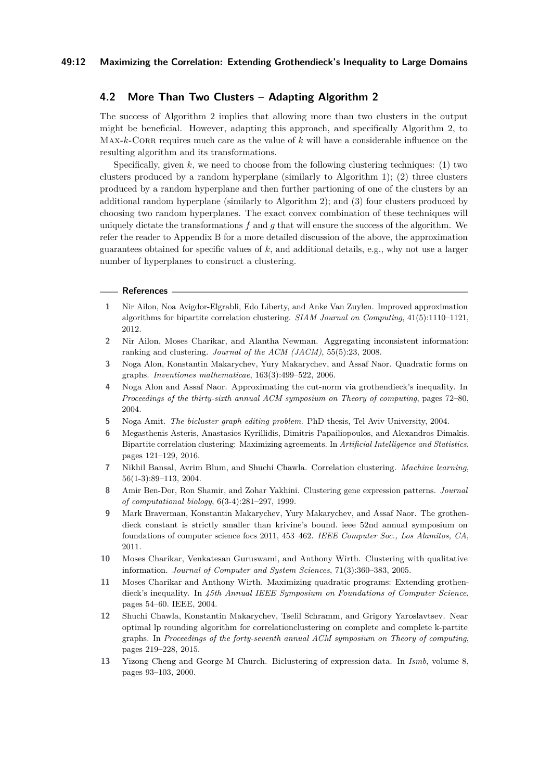# **4.2 More Than Two Clusters – Adapting Algorithm [2](#page-8-0)**

The success of Algorithm [2](#page-8-0) implies that allowing more than two clusters in the output might be beneficial. However, adapting this approach, and specifically Algorithm [2,](#page-8-0) to MAX- $k$ -CORR requires much care as the value of  $k$  will have a considerable influence on the resulting algorithm and its transformations.

Specifically, given *k*, we need to choose from the following clustering techniques: (1) two clusters produced by a random hyperplane (similarly to Algorithm [1\)](#page-7-0); (2) three clusters produced by a random hyperplane and then further partioning of one of the clusters by an additional random hyperplane (similarly to Algorithm [2\)](#page-8-0); and (3) four clusters produced by choosing two random hyperplanes. The exact convex combination of these techniques will uniquely dictate the transformations *f* and *g* that will ensure the success of the algorithm. We refer the reader to Appendix [B](#page-15-0) for a more detailed discussion of the above, the approximation guarantees obtained for specific values of *k*, and additional details, e.g., why not use a larger number of hyperplanes to construct a clustering.

## **References**

- <span id="page-11-3"></span>**1** Nir Ailon, Noa Avigdor-Elgrabli, Edo Liberty, and Anke Van Zuylen. Improved approximation algorithms for bipartite correlation clustering. *SIAM Journal on Computing*, 41(5):1110–1121, 2012.
- <span id="page-11-7"></span>**2** Nir Ailon, Moses Charikar, and Alantha Newman. Aggregating inconsistent information: ranking and clustering. *Journal of the ACM (JACM)*, 55(5):23, 2008.
- <span id="page-11-12"></span>**3** Noga Alon, Konstantin Makarychev, Yury Makarychev, and Assaf Naor. Quadratic forms on graphs. *Inventiones mathematicae*, 163(3):499–522, 2006.
- <span id="page-11-10"></span>**4** Noga Alon and Assaf Naor. Approximating the cut-norm via grothendieck's inequality. In *Proceedings of the thirty-sixth annual ACM symposium on Theory of computing*, pages 72–80, 2004.
- <span id="page-11-1"></span>**5** Noga Amit. *The bicluster graph editing problem*. PhD thesis, Tel Aviv University, 2004.
- <span id="page-11-4"></span>**6** Megasthenis Asteris, Anastasios Kyrillidis, Dimitris Papailiopoulos, and Alexandros Dimakis. Bipartite correlation clustering: Maximizing agreements. In *Artificial Intelligence and Statistics*, pages 121–129, 2016.
- <span id="page-11-0"></span>**7** Nikhil Bansal, Avrim Blum, and Shuchi Chawla. Correlation clustering. *Machine learning*, 56(1-3):89–113, 2004.
- <span id="page-11-2"></span>**8** Amir Ben-Dor, Ron Shamir, and Zohar Yakhini. Clustering gene expression patterns. *Journal of computational biology*, 6(3-4):281–297, 1999.
- <span id="page-11-11"></span>**9** Mark Braverman, Konstantin Makarychev, Yury Makarychev, and Assaf Naor. The grothendieck constant is strictly smaller than krivine's bound. ieee 52nd annual symposium on foundations of computer science focs 2011, 453–462. *IEEE Computer Soc., Los Alamitos, CA*, 2011.
- <span id="page-11-6"></span>**10** Moses Charikar, Venkatesan Guruswami, and Anthony Wirth. Clustering with qualitative information. *Journal of Computer and System Sciences*, 71(3):360–383, 2005.
- <span id="page-11-8"></span>**11** Moses Charikar and Anthony Wirth. Maximizing quadratic programs: Extending grothendieck's inequality. In *45th Annual IEEE Symposium on Foundations of Computer Science*, pages 54–60. IEEE, 2004.
- <span id="page-11-5"></span>**12** Shuchi Chawla, Konstantin Makarychev, Tselil Schramm, and Grigory Yaroslavtsev. Near optimal lp rounding algorithm for correlationclustering on complete and complete k-partite graphs. In *Proceedings of the forty-seventh annual ACM symposium on Theory of computing*, pages 219–228, 2015.
- <span id="page-11-9"></span>**13** Yizong Cheng and George M Church. Biclustering of expression data. In *Ismb*, volume 8, pages 93–103, 2000.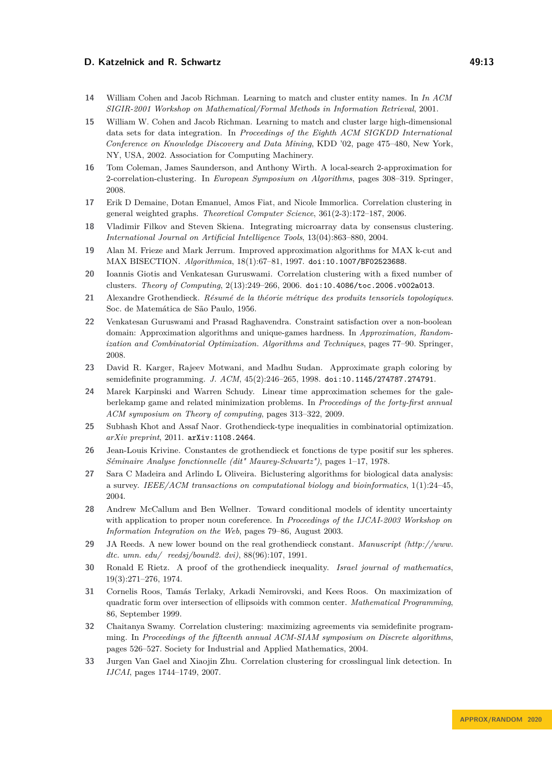- <span id="page-12-1"></span>**14** William Cohen and Jacob Richman. Learning to match and cluster entity names. In *In ACM SIGIR-2001 Workshop on Mathematical/Formal Methods in Information Retrieval*, 2001.
- <span id="page-12-2"></span>**15** William W. Cohen and Jacob Richman. Learning to match and cluster large high-dimensional data sets for data integration. In *Proceedings of the Eighth ACM SIGKDD International Conference on Knowledge Discovery and Data Mining*, KDD '02, page 475–480, New York, NY, USA, 2002. Association for Computing Machinery.
- <span id="page-12-7"></span>**16** Tom Coleman, James Saunderson, and Anthony Wirth. A local-search 2-approximation for 2-correlation-clustering. In *European Symposium on Algorithms*, pages 308–319. Springer, 2008.
- <span id="page-12-5"></span>**17** Erik D Demaine, Dotan Emanuel, Amos Fiat, and Nicole Immorlica. Correlation clustering in general weighted graphs. *Theoretical Computer Science*, 361(2-3):172–187, 2006.
- <span id="page-12-4"></span>**18** Vladimir Filkov and Steven Skiena. Integrating microarray data by consensus clustering. *International Journal on Artificial Intelligence Tools*, 13(04):863–880, 2004.
- <span id="page-12-17"></span>**19** Alan M. Frieze and Mark Jerrum. Improved approximation algorithms for MAX k-cut and MAX BISECTION. *Algorithmica*, 18(1):67–81, 1997. [doi:10.1007/BF02523688](https://doi.org/10.1007/BF02523688).
- <span id="page-12-8"></span>**20** Ioannis Giotis and Venkatesan Guruswami. Correlation clustering with a fixed number of clusters. *Theory of Computing*, 2(13):249–266, 2006. [doi:10.4086/toc.2006.v002a013](https://doi.org/10.4086/toc.2006.v002a013).
- <span id="page-12-13"></span>**21** Alexandre Grothendieck. *Résumé de la théorie métrique des produits tensoriels topologiques*. Soc. de Matemática de São Paulo, 1956.
- <span id="page-12-16"></span>**22** Venkatesan Guruswami and Prasad Raghavendra. Constraint satisfaction over a non-boolean domain: Approximation algorithms and unique-games hardness. In *Approximation, Randomization and Combinatorial Optimization. Algorithms and Techniques*, pages 77–90. Springer, 2008.
- <span id="page-12-19"></span>**23** David R. Karger, Rajeev Motwani, and Madhu Sudan. Approximate graph coloring by semidefinite programming. *J. ACM*, 45(2):246–265, 1998. [doi:10.1145/274787.274791](https://doi.org/10.1145/274787.274791).
- <span id="page-12-9"></span>**24** Marek Karpinski and Warren Schudy. Linear time approximation schemes for the galeberlekamp game and related minimization problems. In *Proceedings of the forty-first annual ACM symposium on Theory of computing*, pages 313–322, 2009.
- <span id="page-12-18"></span>**25** Subhash Khot and Assaf Naor. Grothendieck-type inequalities in combinatorial optimization. *arXiv preprint*, 2011. [arXiv:1108.2464](http://arxiv.org/abs/1108.2464).
- <span id="page-12-12"></span>**26** Jean-Louis Krivine. Constantes de grothendieck et fonctions de type positif sur les spheres. *Séminaire Analyse fonctionnelle (dit" Maurey-Schwartz")*, pages 1–17, 1978.
- <span id="page-12-10"></span>**27** Sara C Madeira and Arlindo L Oliveira. Biclustering algorithms for biological data analysis: a survey. *IEEE/ACM transactions on computational biology and bioinformatics*, 1(1):24–45, 2004.
- <span id="page-12-3"></span>**28** Andrew McCallum and Ben Wellner. Toward conditional models of identity uncertainty with application to proper noun coreference. In *Proceedings of the IJCAI-2003 Workshop on Information Integration on the Web*, pages 79–86, August 2003.
- <span id="page-12-14"></span>**29** JA Reeds. A new lower bound on the real grothendieck constant. *Manuscript (http://www. dtc. umn. edu/ reedsj/bound2. dvi)*, 88(96):107, 1991.
- <span id="page-12-15"></span>**30** Ronald E Rietz. A proof of the grothendieck inequality. *Israel journal of mathematics*, 19(3):271–276, 1974.
- <span id="page-12-11"></span>**31** Cornelis Roos, Tamás Terlaky, Arkadi Nemirovski, and Kees Roos. On maximization of quadratic form over intersection of ellipsoids with common center. *Mathematical Programming*, 86, September 1999.
- <span id="page-12-6"></span>**32** Chaitanya Swamy. Correlation clustering: maximizing agreements via semidefinite programming. In *Proceedings of the fifteenth annual ACM-SIAM symposium on Discrete algorithms*, pages 526–527. Society for Industrial and Applied Mathematics, 2004.
- <span id="page-12-0"></span>**33** Jurgen Van Gael and Xiaojin Zhu. Correlation clustering for crosslingual link detection. In *IJCAI*, pages 1744–1749, 2007.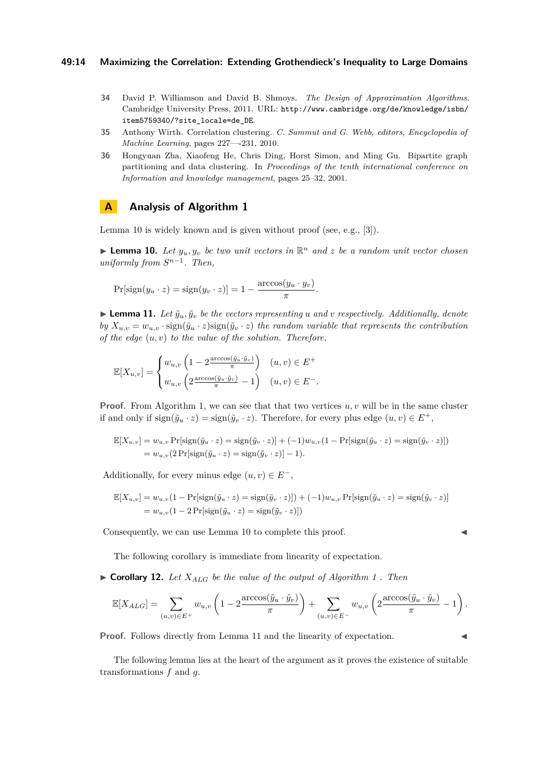## **49:14 Maximizing the Correlation: Extending Grothendieck's Inequality to Large Domains**

- <span id="page-13-2"></span>**34** David P. Williamson and David B. Shmoys. *The Design of Approximation Algorithms*. Cambridge University Press, 2011. URL: [http://www.cambridge.org/de/knowledge/isbn/](http://www.cambridge.org/de/knowledge/isbn/item5759340/?site_locale=de_DE) [item5759340/?site\\_locale=de\\_DE](http://www.cambridge.org/de/knowledge/isbn/item5759340/?site_locale=de_DE).
- <span id="page-13-0"></span>**35** Anthony Wirth. Correlation clustering. *C. Sammut and G. Webb, editors, Encyclopedia of Machine Learning*, pages 227—-231, 2010.
- <span id="page-13-1"></span>**36** Hongyuan Zha, Xiaofeng He, Chris Ding, Horst Simon, and Ming Gu. Bipartite graph partitioning and data clustering. In *Proceedings of the tenth international conference on Information and knowledge management*, pages 25–32, 2001.

# <span id="page-13-3"></span>**A Analysis of Algorithm [1](#page-7-0)**

Lemma [10](#page-13-6) is widely known and is given without proof (see, e.g., [\[3\]](#page-11-12)).

<span id="page-13-6"></span>**Example 10.** Let  $y_u, y_v$  be two unit vectors in  $\mathbb{R}^n$  and z be a random unit vector chosen  $uniformly from S^{n-1}$ . Then,

$$
Pr[sign(y_u \cdot z) = sign(y_v \cdot z)] = 1 - \frac{\arccos(y_u \cdot y_v)}{\pi}.
$$

<span id="page-13-4"></span> $\blacktriangleright$  **Lemma 11.** Let  $\tilde{y}_u, \tilde{y}_v$  be the vectors representing *u* and *v* respectively. Additionally, denote *by*  $X_{u,v} = w_{u,v} \cdot \text{sign}(\tilde{y}_u \cdot z) \text{sign}(\tilde{y}_v \cdot z)$  the random variable that represents the contribution *of the edge* (*u, v*) *to the value of the solution. Therefore,*

$$
\mathbb{E}[X_{u,v}] = \begin{cases} w_{u,v} \left(1 - 2\frac{\arccos(\tilde{y}_u \cdot \tilde{y}_v)}{\pi}\right) & (u,v) \in E^+ \\ w_{u,v} \left(2\frac{\arccos(\tilde{y}_u \cdot \tilde{y}_v)}{\pi} - 1\right) & (u,v) \in E^-. \end{cases}
$$

**Proof.** From Algorithm [1,](#page-7-0) we can see that that two vertices  $u, v$  will be in the same cluster if and only if  $sign(\tilde{y}_u \cdot z) = sign(\tilde{y}_v \cdot z)$ . Therefore, for every plus edge  $(u, v) \in E^+$ ,

$$
\mathbb{E}[X_{u,v}] = w_{u,v} \Pr[\text{sign}(\tilde{y}_u \cdot z) = \text{sign}(\tilde{y}_v \cdot z)] + (-1)w_{u,v}(1 - \Pr[\text{sign}(\tilde{y}_u \cdot z) = \text{sign}(\tilde{y}_v \cdot z)])
$$
  
= 
$$
w_{u,v}(2 \Pr[\text{sign}(\tilde{y}_u \cdot z) = \text{sign}(\tilde{y}_v \cdot z)] - 1).
$$

Additionally, for every minus edge  $(u, v) \in E^-$ ,

$$
\mathbb{E}[X_{u,v}] = w_{u,v}(1 - \Pr[\text{sign}(\tilde{y}_u \cdot z) = \text{sign}(\tilde{y}_v \cdot z)]) + (-1)w_{u,v}\Pr[\text{sign}(\tilde{y}_u \cdot z) = \text{sign}(\tilde{y}_v \cdot z)]
$$
  
= 
$$
w_{u,v}(1 - 2\Pr[\text{sign}(\tilde{y}_u \cdot z) = \text{sign}(\tilde{y}_v \cdot z)])
$$

Consequently, we can use Lemma [10](#page-13-6) to complete this proof.

The following corollary is immediate from linearity of expectation.

<span id="page-13-7"></span> $\triangleright$  **Corollary [1](#page-7-0)2.** Let  $X_{ALG}$  be the value of the output of Algorithm 1. Then

$$
\mathbb{E}[X_{ALG}] = \sum_{(u,v)\in E^+} w_{u,v} \left(1 - 2\frac{\arccos(\tilde{y}_u \cdot \tilde{y}_v)}{\pi}\right) + \sum_{(u,v)\in E^-} w_{u,v} \left(2\frac{\arccos(\tilde{y}_u \cdot \tilde{y}_v)}{\pi} - 1\right).
$$

**Proof.** Follows directly from Lemma [11](#page-13-4) and the linearity of expectation.

<span id="page-13-5"></span>The following lemma lies at the heart of the argument as it proves the existence of suitable transformations *f* and *g*.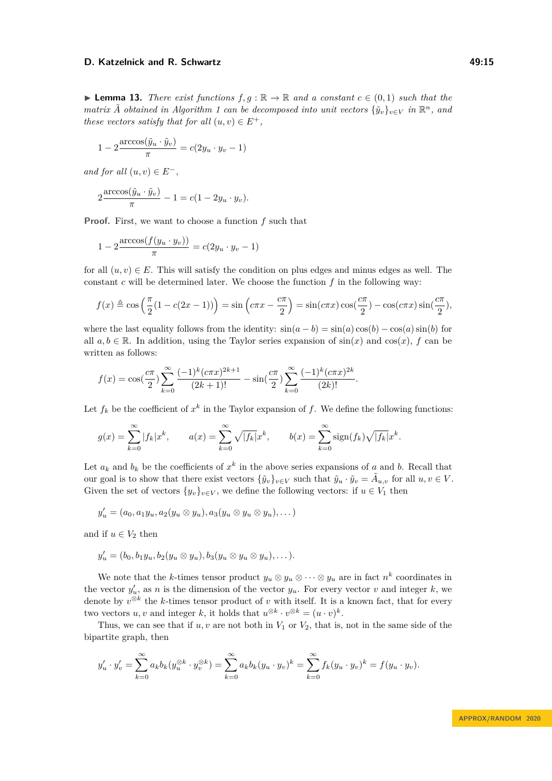**► Lemma 13.** There exist functions  $f, g : \mathbb{R} \to \mathbb{R}$  and a constant  $c \in (0, 1)$  such that the *matrix*  $\tilde{A}$  *obtained in Algorithm* [1](#page-7-0) *can be decomposed into unit vectors*  ${\tilde{y}_v}_{v \in V}$  *in*  $\mathbb{R}^n$ *, and these vectors satisfy that for all*  $(u, v) \in E^+$ ,

$$
1 - 2\frac{\arccos(\tilde{y}_u \cdot \tilde{y}_v)}{\pi} = c(2y_u \cdot y_v - 1)
$$

*and for all*  $(u, v) \in E^-$ .

$$
2\frac{\arccos(\tilde{y}_u \cdot \tilde{y}_v)}{\pi} - 1 = c(1 - 2y_u \cdot y_v).
$$

**Proof.** First, we want to choose a function *f* such that

$$
1 - 2 \frac{\arccos(f(y_u \cdot y_v))}{\pi} = c(2y_u \cdot y_v - 1)
$$

for all  $(u, v) \in E$ . This will satisfy the condition on plus edges and minus edges as well. The constant *c* will be determined later. We choose the function *f* in the following way:

$$
f(x) \triangleq \cos\left(\frac{\pi}{2}(1 - c(2x - 1))\right) = \sin\left(c\pi x - \frac{c\pi}{2}\right) = \sin(c\pi x)\cos\left(\frac{c\pi}{2}\right) - \cos(c\pi x)\sin\left(\frac{c\pi}{2}\right),
$$

where the last equality follows from the identity:  $sin(a - b) = sin(a) cos(b) - cos(a) sin(b)$  for all  $a, b \in \mathbb{R}$ . In addition, using the Taylor series expansion of  $sin(x)$  and  $cos(x)$ , *f* can be written as follows:

$$
f(x) = \cos(\frac{c\pi}{2}) \sum_{k=0}^{\infty} \frac{(-1)^k (c\pi x)^{2k+1}}{(2k+1)!} - \sin(\frac{c\pi}{2}) \sum_{k=0}^{\infty} \frac{(-1)^k (c\pi x)^{2k}}{(2k)!}.
$$

Let  $f_k$  be the coefficient of  $x^k$  in the Taylor expansion of  $f$ . We define the following functions:

$$
g(x) = \sum_{k=0}^{\infty} |f_k| x^k, \qquad a(x) = \sum_{k=0}^{\infty} \sqrt{|f_k|} x^k, \qquad b(x) = \sum_{k=0}^{\infty} \text{sign}(f_k) \sqrt{|f_k|} x^k.
$$

Let  $a_k$  and  $b_k$  be the coefficients of  $x^k$  in the above series expansions of *a* and *b*. Recall that our goal is to show that there exist vectors  ${\{\tilde{y}_v\}}_{v \in V}$  such that  $\tilde{y}_u \cdot \tilde{y}_v = \tilde{A}_{u,v}$  for all  $u, v \in V$ . Given the set of vectors  $\{y_v\}_{v \in V}$ , we define the following vectors: if  $u \in V_1$  then

$$
y'_u = (a_0, a_1y_u, a_2(y_u \otimes y_u), a_3(y_u \otimes y_u \otimes y_u), \dots)
$$

and if  $u \in V_2$  then

$$
y'_u = (b_0, b_1y_u, b_2(y_u \otimes y_u), b_3(y_u \otimes y_u \otimes y_u), \dots).
$$

We note that the *k*-times tensor product  $y_u \otimes y_u \otimes \cdots \otimes y_u$  are in fact  $n^k$  coordinates in the vector  $y'_u$ , as *n* is the dimension of the vector  $y_u$ . For every vector *v* and integer *k*, we denote by  $v^{\otimes k}$  the *k*-times tensor product of *v* with itself. It is a known fact, that for every two vectors *u*, *v* and integer *k*, it holds that  $u^{\otimes k} \cdot v^{\otimes k} = (u \cdot v)^k$ .

Thus, we can see that if  $u, v$  are not both in  $V_1$  or  $V_2$ , that is, not in the same side of the bipartite graph, then

$$
y'_{u} \cdot y'_{v} = \sum_{k=0}^{\infty} a_{k} b_{k} (y_{u}^{\otimes k} \cdot y_{v}^{\otimes k}) = \sum_{k=0}^{\infty} a_{k} b_{k} (y_{u} \cdot y_{v})^{k} = \sum_{k=0}^{\infty} f_{k} (y_{u} \cdot y_{v})^{k} = f(y_{u} \cdot y_{v}).
$$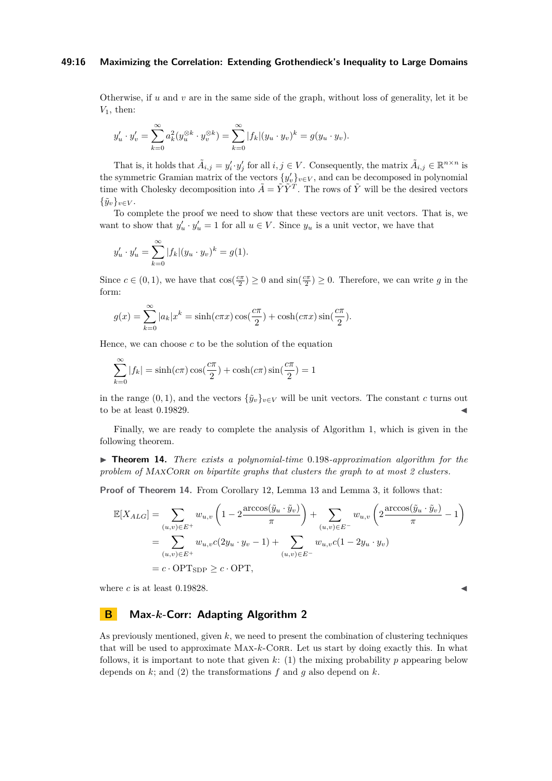#### **49:16 Maximizing the Correlation: Extending Grothendieck's Inequality to Large Domains**

Otherwise, if *u* and *v* are in the same side of the graph, without loss of generality, let it be *V*1, then:

$$
y'_{u} \cdot y'_{v} = \sum_{k=0}^{\infty} a_k^{2} (y_u^{\otimes k} \cdot y_v^{\otimes k}) = \sum_{k=0}^{\infty} |f_k| (y_u \cdot y_v)^k = g(y_u \cdot y_v).
$$

That is, it holds that  $\tilde{A}_{i,j} = y'_i \cdot y'_j$  for all  $i, j \in V$ . Consequently, the matrix  $\tilde{A}_{i,j} \in \mathbb{R}^{n \times n}$  is the symmetric Gramian matrix of the vectors  $\{y'_{v}\}_{v\in V}$ , and can be decomposed in polynomial time with Cholesky decomposition into  $\tilde{A} = \tilde{Y}\tilde{Y}^T$ . The rows of  $\tilde{Y}$  will be the desired vectors  ${\{\tilde{y}_v\}}_{v \in V}$ .

To complete the proof we need to show that these vectors are unit vectors. That is, we want to show that  $y'_u \cdot y'_u = 1$  for all  $u \in V$ . Since  $y_u$  is a unit vector, we have that

$$
y'_{u} \cdot y'_{u} = \sum_{k=0}^{\infty} |f_{k}| (y_{u} \cdot y_{v})^{k} = g(1).
$$

Since  $c \in (0,1)$ , we have that  $\cos(\frac{c\pi}{2}) \ge 0$  and  $\sin(\frac{c\pi}{2}) \ge 0$ . Therefore, we can write *g* in the form:

$$
g(x) = \sum_{k=0}^{\infty} |a_k| x^k = \sinh(c\pi x) \cos(\frac{c\pi}{2}) + \cosh(c\pi x) \sin(\frac{c\pi}{2}).
$$

Hence, we can choose *c* to be the solution of the equation

$$
\sum_{k=0}^{\infty} |f_k| = \sinh(c\pi)\cos(\frac{c\pi}{2}) + \cosh(c\pi)\sin(\frac{c\pi}{2}) = 1
$$

in the range  $(0, 1)$ , and the vectors  ${\tilde{y}_v}_{v \in V}$  will be unit vectors. The constant *c* turns out to be at least  $0.19829$ .

Finally, we are ready to complete the analysis of Algorithm [1,](#page-7-0) which is given in the following theorem.

<span id="page-15-1"></span>I **Theorem 14.** *There exists a polynomial-time* 0*.*198*-approximation algorithm for the problem of MAXCORR on bipartite graphs that clusters the graph to at most 2 clusters.* 

**Proof of Theorem [14.](#page-15-1)** From Corollary [12,](#page-13-7) Lemma [13](#page-13-5) and Lemma [3,](#page-5-3) it follows that:

$$
\mathbb{E}[X_{ALG}] = \sum_{(u,v)\in E^+} w_{u,v} \left(1 - 2\frac{\arccos(\tilde{y}_u \cdot \tilde{y}_v)}{\pi}\right) + \sum_{(u,v)\in E^-} w_{u,v} \left(2\frac{\arccos(\tilde{y}_u \cdot \tilde{y}_v)}{\pi} - 1\right)
$$
  
= 
$$
\sum_{(u,v)\in E^+} w_{u,v} c(2y_u \cdot y_v - 1) + \sum_{(u,v)\in E^-} w_{u,v} c(1 - 2y_u \cdot y_v)
$$
  
= 
$$
c \cdot \text{OPT}_{SDP} \ge c \cdot \text{OPT},
$$

where *c* is at least 0.19828.

# <span id="page-15-0"></span>**B Max-***k***-Corr: Adapting Algorithm [2](#page-8-0)**

As previously mentioned, given *k*, we need to present the combination of clustering techniques that will be used to approximate MAX- $k$ -CORR. Let us start by doing exactly this. In what follows, it is important to note that given  $k$ : (1) the mixing probability  $p$  appearing below depends on *k*; and (2) the transformations *f* and *g* also depend on *k*.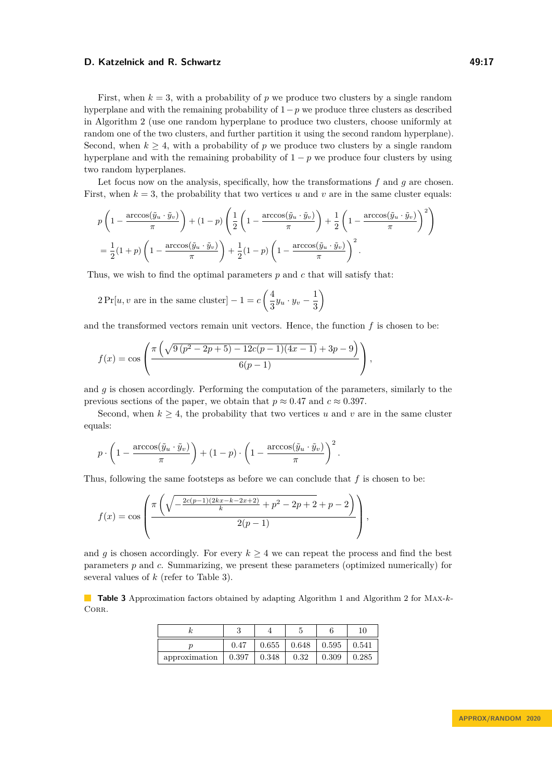First, when  $k = 3$ , with a probability of p we produce two clusters by a single random hyperplane and with the remaining probability of 1−*p* we produce three clusters as described in Algorithm [2](#page-8-0) (use one random hyperplane to produce two clusters, choose uniformly at random one of the two clusters, and further partition it using the second random hyperplane). Second, when  $k \geq 4$ , with a probability of p we produce two clusters by a single random hyperplane and with the remaining probability of  $1 - p$  we produce four clusters by using two random hyperplanes.

Let focus now on the analysis, specifically, how the transformations *f* and *g* are chosen. First, when  $k = 3$ , the probability that two vertices *u* and *v* are in the same cluster equals:

$$
p\left(1 - \frac{\arccos(\tilde{y}_u \cdot \tilde{y}_v)}{\pi}\right) + (1-p)\left(\frac{1}{2}\left(1 - \frac{\arccos(\tilde{y}_u \cdot \tilde{y}_v)}{\pi}\right) + \frac{1}{2}\left(1 - \frac{\arccos(\tilde{y}_u \cdot \tilde{y}_v)}{\pi}\right)^2\right)
$$
  
=  $\frac{1}{2}(1+p)\left(1 - \frac{\arccos(\tilde{y}_u \cdot \tilde{y}_v)}{\pi}\right) + \frac{1}{2}(1-p)\left(1 - \frac{\arccos(\tilde{y}_u \cdot \tilde{y}_v)}{\pi}\right)^2$ .

Thus, we wish to find the optimal parameters *p* and *c* that will satisfy that:

$$
2\Pr[u, v \text{ are in the same cluster}] - 1 = c\left(\frac{4}{3}y_u \cdot y_v - \frac{1}{3}\right)
$$

and the transformed vectors remain unit vectors. Hence, the function *f* is chosen to be:

$$
f(x) = \cos\left(\frac{\pi\left(\sqrt{9(p^2 - 2p + 5) - 12c(p - 1)(4x - 1)} + 3p - 9\right)}{6(p - 1)}\right),\,
$$

and *g* is chosen accordingly. Performing the computation of the parameters, similarly to the previous sections of the paper, we obtain that  $p \approx 0.47$  and  $c \approx 0.397$ .

Second, when  $k \geq 4$ , the probability that two vertices *u* and *v* are in the same cluster equals:

$$
p \cdot \left(1 - \frac{\arccos(\tilde{y}_u \cdot \tilde{y}_v)}{\pi}\right) + (1 - p) \cdot \left(1 - \frac{\arccos(\tilde{y}_u \cdot \tilde{y}_v)}{\pi}\right)^2.
$$

Thus, following the same footsteps as before we can conclude that *f* is chosen to be:

$$
f(x) = \cos\left(\frac{\pi\left(\sqrt{-\frac{2c(p-1)(2kx-k-2x+2)}{k}+p^2-2p+2}+p-2\right)}{2(p-1)}\right),\,
$$

and *g* is chosen accordingly. For every  $k \geq 4$  we can repeat the process and find the best parameters *p* and *c*. Summarizing, we present these parameters (optimized numerically) for several values of *k* (refer to Table [3\)](#page-16-0).

<span id="page-16-0"></span>**Table 3** Approximation factors obtained by adapting Algorithm [1](#page-7-0) and Algorithm [2](#page-8-0) for Max-*k*-CORR.

|               |       |       | Ð     |       | 10    |
|---------------|-------|-------|-------|-------|-------|
|               | 0.47  | 0.655 | 0.648 | 0.595 | 0.541 |
| approximation | 0.397 | 0.348 | 0.32  | 0.309 | 0.285 |